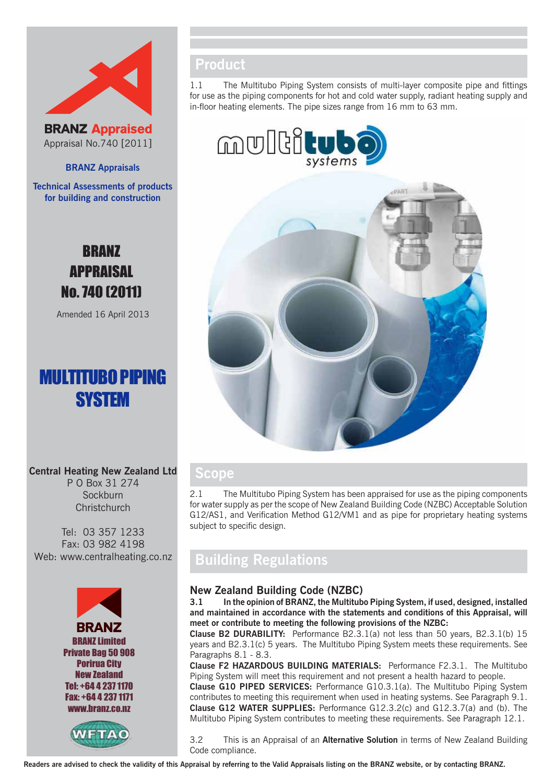



**BRANZ Appraisals**

**Technical Assessments of products for building and construction**

# BRANZ APPRAISAL No. 740 (2011)

Amended 16 April 2013

# MULTITUBO PIPING **SYSTEM**

## **Central Heating New Zealand Ltd**

P O Box 31 274 Sockburn **Christchurch** 

Tel: 03 357 1233 Fax: 03 982 4198 Web: www.centralheating.co.nz





## **Product**

1.1 The Multitubo Piping System consists of multi-layer composite pipe and fittings for use as the piping components for hot and cold water supply, radiant heating supply and in-floor heating elements. The pipe sizes range from 16 mm to 63 mm.





## **Scope**

2.1 The Multitubo Piping System has been appraised for use as the piping components for water supply as per the scope of New Zealand Building Code (NZBC) Acceptable Solution G12/AS1, and Verification Method G12/VM1 and as pipe for proprietary heating systems subject to specific design.

## **Building Regulations**

## **New Zealand Building Code (NZBC)**

**3.1 In the opinion of BRANZ, the Multitubo Piping System, if used, designed, installed and maintained in accordance with the statements and conditions of this Appraisal, will meet or contribute to meeting the following provisions of the NZBC:**

**Clause B2 DURABILITY:** Performance B2.3.1(a) not less than 50 years, B2.3.1(b) 15 years and B2.3.1(c) 5 years. The Multitubo Piping System meets these requirements. See Paragraphs 8.1 - 8.3.

**Clause F2 HAZARDOUS BUILDING MATERIALS:** Performance F2.3.1. The Multitubo Piping System will meet this requirement and not present a health hazard to people.

**Clause G10 PIPED SERVICES:** Performance G10.3.1(a). The Multitubo Piping System contributes to meeting this requirement when used in heating systems. See Paragraph 9.1. **Clause G12 WATER SUPPLIES:** Performance G12.3.2(c) and G12.3.7(a) and (b). The Multitubo Piping System contributes to meeting these requirements. See Paragraph 12.1.

3.2 This is an Appraisal of an **Alternative Solution** in terms of New Zealand Building Code compliance.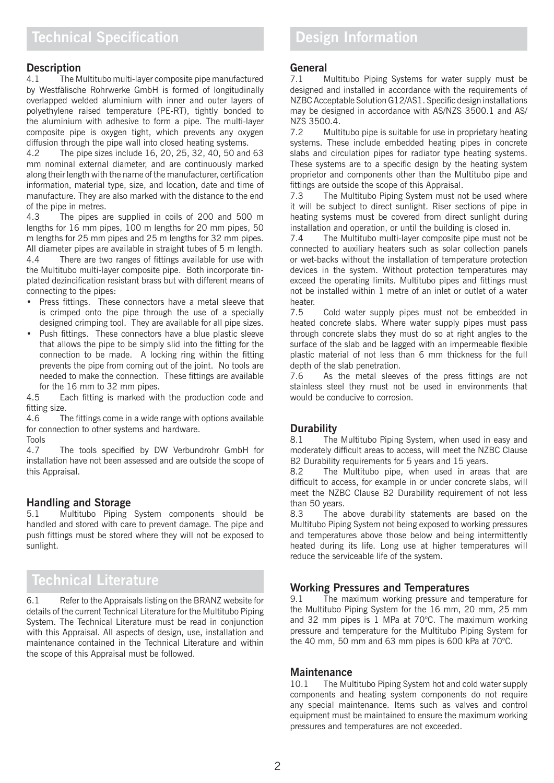# **Description**<br>4.1 The M

The Multitubo multi-layer composite pipe manufactured by Westfälische Rohrwerke GmbH is formed of longitudinally overlapped welded aluminium with inner and outer layers of polyethylene raised temperature (PE-RT), tightly bonded to the aluminium with adhesive to form a pipe. The multi-layer composite pipe is oxygen tight, which prevents any oxygen diffusion through the pipe wall into closed heating systems.

4.2 The pipe sizes include 16, 20, 25, 32, 40, 50 and 63 mm nominal external diameter, and are continuously marked along their length with the name of the manufacturer, certification information, material type, size, and location, date and time of manufacture. They are also marked with the distance to the end of the pipe in metres.

4.3 The pipes are supplied in coils of 200 and 500 m lengths for 16 mm pipes, 100 m lengths for 20 mm pipes, 50 m lengths for 25 mm pipes and 25 m lengths for 32 mm pipes. All diameter pipes are available in straight tubes of 5 m length.

4.4 There are two ranges of fittings available for use with the Multitubo multi-layer composite pipe. Both incorporate tinplated dezincification resistant brass but with different means of connecting to the pipes:

- • Press fittings. These connectors have a metal sleeve that is crimped onto the pipe through the use of a specially designed crimping tool. They are available for all pipe sizes.
- Push fittings. These connectors have a blue plastic sleeve that allows the pipe to be simply slid into the fitting for the connection to be made. A locking ring within the fitting prevents the pipe from coming out of the joint. No tools are needed to make the connection. These fittings are available for the 16 mm to 32 mm pipes.

4.5 Each fitting is marked with the production code and fitting size.

4.6 The fittings come in a wide range with options available for connection to other systems and hardware.

Tools

4.7 The tools specified by DW Verbundrohr GmbH for installation have not been assessed and are outside the scope of this Appraisal.

### **Handling and Storage**

5.1 Multitubo Piping System components should be handled and stored with care to prevent damage. The pipe and push fittings must be stored where they will not be exposed to sunlight.

# **Technical Literature**

6.1 Refer to the Appraisals listing on the BRANZ website for details of the current Technical Literature for the Multitubo Piping System. The Technical Literature must be read in conjunction with this Appraisal. All aspects of design, use, installation and maintenance contained in the Technical Literature and within the scope of this Appraisal must be followed.

# General<br>
<sup>71</sup> M

Multitubo Piping Systems for water supply must be designed and installed in accordance with the requirements of NZBC Acceptable Solution G12/AS1. Specific design installations may be designed in accordance with AS/NZS 3500.1 and AS/ NZS 3500.4.

7.2 Multitubo pipe is suitable for use in proprietary heating systems. These include embedded heating pipes in concrete slabs and circulation pipes for radiator type heating systems. These systems are to a specific design by the heating system proprietor and components other than the Multitubo pipe and fittings are outside the scope of this Appraisal.

7.3 The Multitubo Piping System must not be used where it will be subject to direct sunlight. Riser sections of pipe in heating systems must be covered from direct sunlight during installation and operation, or until the building is closed in.

7.4 The Multitubo multi-layer composite pipe must not be connected to auxiliary heaters such as solar collection panels or wet-backs without the installation of temperature protection devices in the system. Without protection temperatures may exceed the operating limits. Multitubo pipes and fittings must not be installed within 1 metre of an inlet or outlet of a water heater.

7.5 Cold water supply pipes must not be embedded in heated concrete slabs. Where water supply pipes must pass through concrete slabs they must do so at right angles to the surface of the slab and be lagged with an impermeable flexible plastic material of not less than 6 mm thickness for the full depth of the slab penetration.

7.6 As the metal sleeves of the press fittings are not stainless steel they must not be used in environments that would be conducive to corrosion.

### **Durability**

8.1 The Multitubo Piping System, when used in easy and moderately difficult areas to access, will meet the NZBC Clause B2 Durability requirements for 5 years and 15 years.

8.2 The Multitubo pipe, when used in areas that are difficult to access, for example in or under concrete slabs, will meet the NZBC Clause B2 Durability requirement of not less than 50 years.

8.3 The above durability statements are based on the Multitubo Piping System not being exposed to working pressures and temperatures above those below and being intermittently heated during its life. Long use at higher temperatures will reduce the serviceable life of the system.

### **Working Pressures and Temperatures**

9.1 The maximum working pressure and temperature for the Multitubo Piping System for the 16 mm, 20 mm, 25 mm and 32 mm pipes is 1 MPa at 70°C. The maximum working pressure and temperature for the Multitubo Piping System for the 40 mm, 50 mm and 63 mm pipes is 600 kPa at 70°C.

#### **Maintenance**

10.1 The Multitubo Piping System hot and cold water supply components and heating system components do not require any special maintenance. Items such as valves and control equipment must be maintained to ensure the maximum working pressures and temperatures are not exceeded.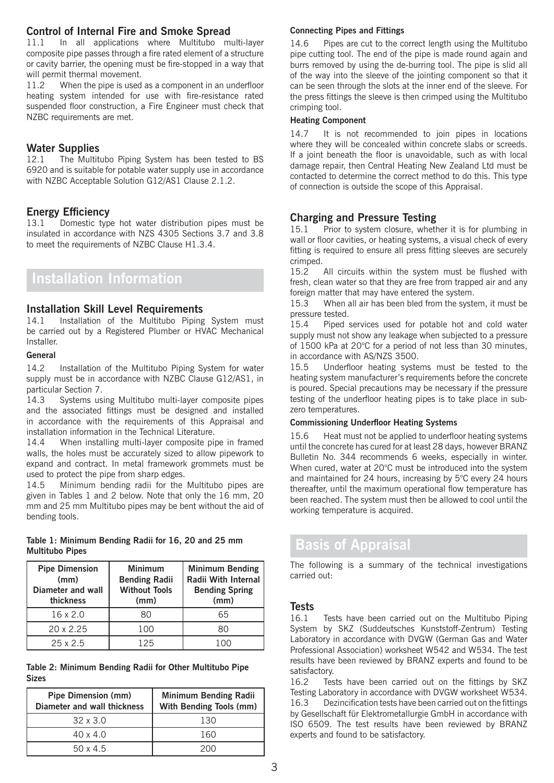### **Control of Internal Fire and Smoke Spread**

11.1 In all applications where Multitubo multi-layer composite pipe passes through a fire rated element of a structure or cavity barrier, the opening must be fire-stopped in a way that will permit thermal movement.

11.2 When the pipe is used as a component in an underfloor heating system intended for use with fire-resistance rated suspended floor construction, a Fire Engineer must check that NZBC requirements are met.

# **Water Supplies**<br>12.1 The Multit

The Multitubo Piping System has been tested to BS 6920 and is suitable for potable water supply use in accordance with NZBC Acceptable Solution G12/AS1 Clause 2.1.2.

#### **Energy Efficiency**

13.1 Domestic type hot water distribution pipes must be insulated in accordance with NZS 4305 Sections 3.7 and 3.8 to meet the requirements of NZBC Clause H1.3.4.

# **Installation Information**

#### **Installation Skill Level Requirements**

14.1 Installation of the Multitubo Piping System must be carried out by a Registered Plumber or HVAC Mechanical Installer.

#### **General**

14.2 Installation of the Multitubo Piping System for water supply must be in accordance with NZBC Clause G12/AS1, in particular Section 7.

14.3 Systems using Multitubo multi-layer composite pipes and the associated fittings must be designed and installed in accordance with the requirements of this Appraisal and installation information in the Technical Literature.

14.4 When installing multi-layer composite pipe in framed walls, the holes must be accurately sized to allow pipework to expand and contract. In metal framework grommets must be used to protect the pipe from sharp edges.

14.5 Minimum bending radii for the Multitubo pipes are given in Tables 1 and 2 below. Note that only the 16 mm, 20 mm and 25 mm Multitubo pipes may be bent without the aid of bending tools.

**Table 1: Minimum Bending Radii for 16, 20 and 25 mm Multitubo Pipes**

| <b>Pipe Dimension</b><br>(mm)<br>Diameter and wall<br>thickness | <b>Minimum</b><br><b>Bending Radii</b><br><b>Without Tools</b><br>(mm) | <b>Minimum Bending</b><br>Radii With Internal<br><b>Bending Spring</b><br>(mm) |
|-----------------------------------------------------------------|------------------------------------------------------------------------|--------------------------------------------------------------------------------|
| $16 \times 2.0$                                                 | 80                                                                     | 65                                                                             |
| $20 \times 2.25$                                                | 100                                                                    |                                                                                |
| 25x2.5                                                          | 125                                                                    | 1 N N                                                                          |

#### **Table 2: Minimum Bending Radii for Other Multitubo Pipe Sizes**

| <b>Pipe Dimension (mm)</b><br>Diameter and wall thickness | <b>Minimum Bending Radii</b><br><b>With Bending Tools (mm)</b> |  |
|-----------------------------------------------------------|----------------------------------------------------------------|--|
| $32 \times 3.0$                                           | 130                                                            |  |
| $40 \times 4.0$                                           | 160                                                            |  |
| $50 \times 4.5$                                           | 200                                                            |  |

### **Connecting Pipes and Fittings**

14.6 Pipes are cut to the correct length using the Multitubo pipe cutting tool. The end of the pipe is made round again and burrs removed by using the de-burring tool. The pipe is slid all of the way into the sleeve of the jointing component so that it can be seen through the slots at the inner end of the sleeve. For the press fittings the sleeve is then crimped using the Multitubo crimping tool.

#### **Heating Component**

14.7 It is not recommended to join pipes in locations where they will be concealed within concrete slabs or screeds. If a joint beneath the floor is unavoidable, such as with local damage repair, then Central Heating New Zealand Ltd must be contacted to determine the correct method to do this. This type of connection is outside the scope of this Appraisal.

## **Charging and Pressure Testing**

15.1 Prior to system closure, whether it is for plumbing in wall or floor cavities, or heating systems, a visual check of every fitting is required to ensure all press fitting sleeves are securely crimped.

15.2 All circuits within the system must be flushed with fresh, clean water so that they are free from trapped air and any foreign matter that may have entered the system.

15.3 When all air has been bled from the system, it must be pressure tested.

15.4 Piped services used for potable hot and cold water supply must not show any leakage when subjected to a pressure of 1500 kPa at 20°C for a period of not less than 30 minutes, in accordance with AS/NZS 3500.

15.5 Underfloor heating systems must be tested to the heating system manufacturer's requirements before the concrete is poured. Special precautions may be necessary if the pressure testing of the underfloor heating pipes is to take place in subzero temperatures.

### **Commissioning Underfloor Heating Systems**

15.6 Heat must not be applied to underfloor heating systems until the concrete has cured for at least 28 days, however BRANZ Bulletin No. 344 recommends 6 weeks, especially in winter. When cured, water at 20°C must be introduced into the system and maintained for 24 hours, increasing by 5°C every 24 hours thereafter, until the maximum operational flow temperature has been reached. The system must then be allowed to cool until the working temperature is acquired.

# **Basis of Appraisal**

The following is a summary of the technical investigations carried out:

# **Tests**

Tests have been carried out on the Multitubo Piping System by SKZ (Suddeutsches Kunststoff-Zentrum) Testing Laboratory in accordance with DVGW (German Gas and Water Professional Association) worksheet W542 and W534. The test results have been reviewed by BRANZ experts and found to be satisfactory.

16.2 Tests have been carried out on the fittings by SKZ Testing Laboratory in accordance with DVGW worksheet W534. 16.3 Dezincification tests have been carried out on the fittings by Gesellschaft für Elektrometallurgie GmbH in accordance with ISO 6509. The test results have been reviewed by BRANZ experts and found to be satisfactory.